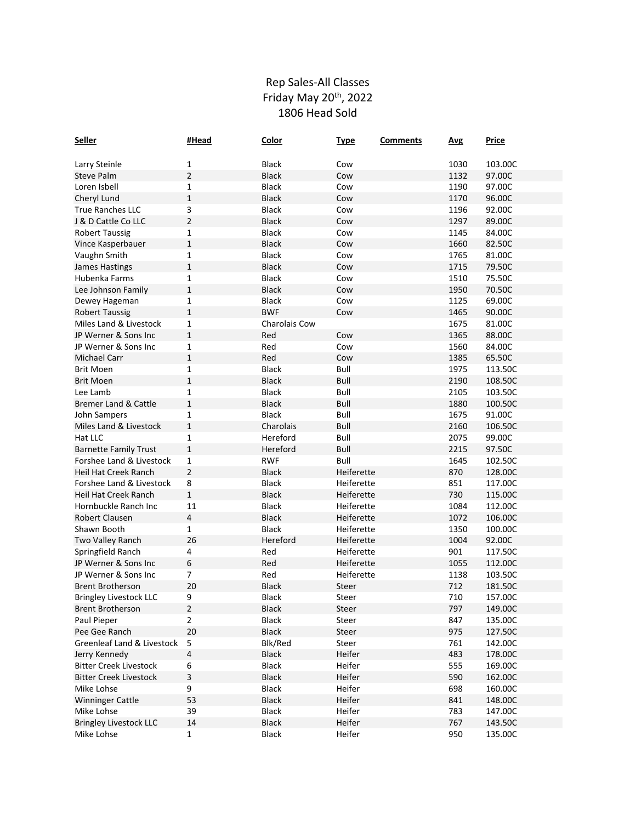## Rep Sales-All Classes Friday May 20<sup>th</sup>, 2022 1806 Head Sold

| <b>Seller</b>                 | #Head          | Color         | <b>Type</b> | <b>Comments</b> | <b>Avg</b> | <b>Price</b> |
|-------------------------------|----------------|---------------|-------------|-----------------|------------|--------------|
|                               |                |               |             |                 |            |              |
| Larry Steinle                 | 1              | <b>Black</b>  | Cow         |                 | 1030       | 103.00C      |
| <b>Steve Palm</b>             | $\overline{2}$ | <b>Black</b>  | Cow         |                 | 1132       | 97.00C       |
| Loren Isbell                  | 1              | <b>Black</b>  | Cow         |                 | 1190       | 97.00C       |
| Cheryl Lund                   | $\mathbf 1$    | <b>Black</b>  | Cow         |                 | 1170       | 96.00C       |
| <b>True Ranches LLC</b>       | 3              | <b>Black</b>  | Cow         |                 | 1196       | 92.00C       |
| J & D Cattle Co LLC           | $\overline{2}$ | <b>Black</b>  | Cow         |                 | 1297       | 89.00C       |
| <b>Robert Taussig</b>         | 1              | <b>Black</b>  | Cow         |                 | 1145       | 84.00C       |
| Vince Kasperbauer             | 1              | <b>Black</b>  | Cow         |                 | 1660       | 82.50C       |
| Vaughn Smith                  | 1              | <b>Black</b>  | Cow         |                 | 1765       | 81.00C       |
| James Hastings                | $\mathbf{1}$   | <b>Black</b>  | Cow         |                 | 1715       | 79.50C       |
| Hubenka Farms                 | $\mathbf{1}$   | <b>Black</b>  | Cow         |                 | 1510       | 75.50C       |
| Lee Johnson Family            | $\mathbf 1$    | <b>Black</b>  | Cow         |                 | 1950       | 70.50C       |
| Dewey Hageman                 | 1              | <b>Black</b>  | Cow         |                 | 1125       | 69.00C       |
| <b>Robert Taussig</b>         | $\mathbf{1}$   | <b>BWF</b>    | Cow         |                 | 1465       | 90.00C       |
| Miles Land & Livestock        | 1              | Charolais Cow |             |                 | 1675       | 81.00C       |
| JP Werner & Sons Inc          | $\mathbf{1}$   | Red           | Cow         |                 | 1365       | 88.00C       |
| JP Werner & Sons Inc          | 1              | Red           | Cow         |                 | 1560       | 84.00C       |
| <b>Michael Carr</b>           | $\mathbf 1$    | Red           | Cow         |                 | 1385       | 65.50C       |
| <b>Brit Moen</b>              | 1              | <b>Black</b>  | Bull        |                 | 1975       | 113.50C      |
| <b>Brit Moen</b>              | $\mathbf{1}$   | <b>Black</b>  | Bull        |                 | 2190       | 108.50C      |
| Lee Lamb                      | 1              | <b>Black</b>  | Bull        |                 | 2105       | 103.50C      |
| Bremer Land & Cattle          | $\mathbf{1}$   | <b>Black</b>  | Bull        |                 | 1880       | 100.50C      |
| John Sampers                  | $\mathbf 1$    | <b>Black</b>  | Bull        |                 | 1675       | 91.00C       |
| Miles Land & Livestock        | $\mathbf 1$    | Charolais     | Bull        |                 | 2160       | 106.50C      |
| Hat LLC                       | 1              | Hereford      | Bull        |                 | 2075       | 99.00C       |
| <b>Barnette Family Trust</b>  | $\mathbf{1}$   | Hereford      | Bull        |                 | 2215       | 97.50C       |
| Forshee Land & Livestock      | $\mathbf 1$    | <b>RWF</b>    | Bull        |                 | 1645       | 102.50C      |
| Heil Hat Creek Ranch          | $\overline{2}$ | <b>Black</b>  | Heiferette  |                 | 870        | 128.00C      |
| Forshee Land & Livestock      | 8              | <b>Black</b>  | Heiferette  |                 | 851        | 117.00C      |
| Heil Hat Creek Ranch          | $\mathbf 1$    | <b>Black</b>  | Heiferette  |                 | 730        | 115.00C      |
| Hornbuckle Ranch Inc          | $11\,$         | <b>Black</b>  | Heiferette  |                 | 1084       | 112.00C      |
| Robert Clausen                | 4              | <b>Black</b>  | Heiferette  |                 | 1072       | 106.00C      |
| Shawn Booth                   | 1              | <b>Black</b>  | Heiferette  |                 | 1350       | 100.00C      |
| Two Valley Ranch              | 26             | Hereford      | Heiferette  |                 | 1004       | 92.00C       |
| Springfield Ranch             | 4              | Red           | Heiferette  |                 | 901        | 117.50C      |
| JP Werner & Sons Inc          | 6              | Red           | Heiferette  |                 | 1055       | 112.00C      |
| JP Werner & Sons Inc          | 7              | Red           | Heiferette  |                 | 1138       | 103.50C      |
| <b>Brent Brotherson</b>       | 20             | <b>Black</b>  | Steer       |                 | 712        | 181.50C      |
| <b>Bringley Livestock LLC</b> | 9              | <b>Black</b>  | Steer       |                 | 710        | 157.00C      |
| <b>Brent Brotherson</b>       | $\overline{2}$ | Black         | Steer       |                 | 797        | 149.00C      |
| Paul Pieper                   | 2              | <b>Black</b>  | Steer       |                 | 847        | 135.00C      |
| Pee Gee Ranch                 | 20             | <b>Black</b>  | Steer       |                 | 975        | 127.50C      |
| Greenleaf Land & Livestock    | 5              | Blk/Red       | Steer       |                 | 761        | 142.00C      |
| Jerry Kennedy                 | 4              | Black         | Heifer      |                 | 483        | 178.00C      |
| <b>Bitter Creek Livestock</b> | 6              | <b>Black</b>  | Heifer      |                 | 555        | 169.00C      |
| <b>Bitter Creek Livestock</b> | 3              | <b>Black</b>  | Heifer      |                 | 590        | 162.00C      |
| Mike Lohse                    | 9              | Black         | Heifer      |                 | 698        | 160.00C      |
| <b>Winninger Cattle</b>       | 53             | <b>Black</b>  | Heifer      |                 | 841        | 148.00C      |
| Mike Lohse                    | 39             | Black         | Heifer      |                 | 783        | 147.00C      |
| <b>Bringley Livestock LLC</b> | 14             | Black         | Heifer      |                 | 767        | 143.50C      |
| Mike Lohse                    | $\mathbf{1}$   | Black         | Heifer      |                 | 950        | 135.00C      |